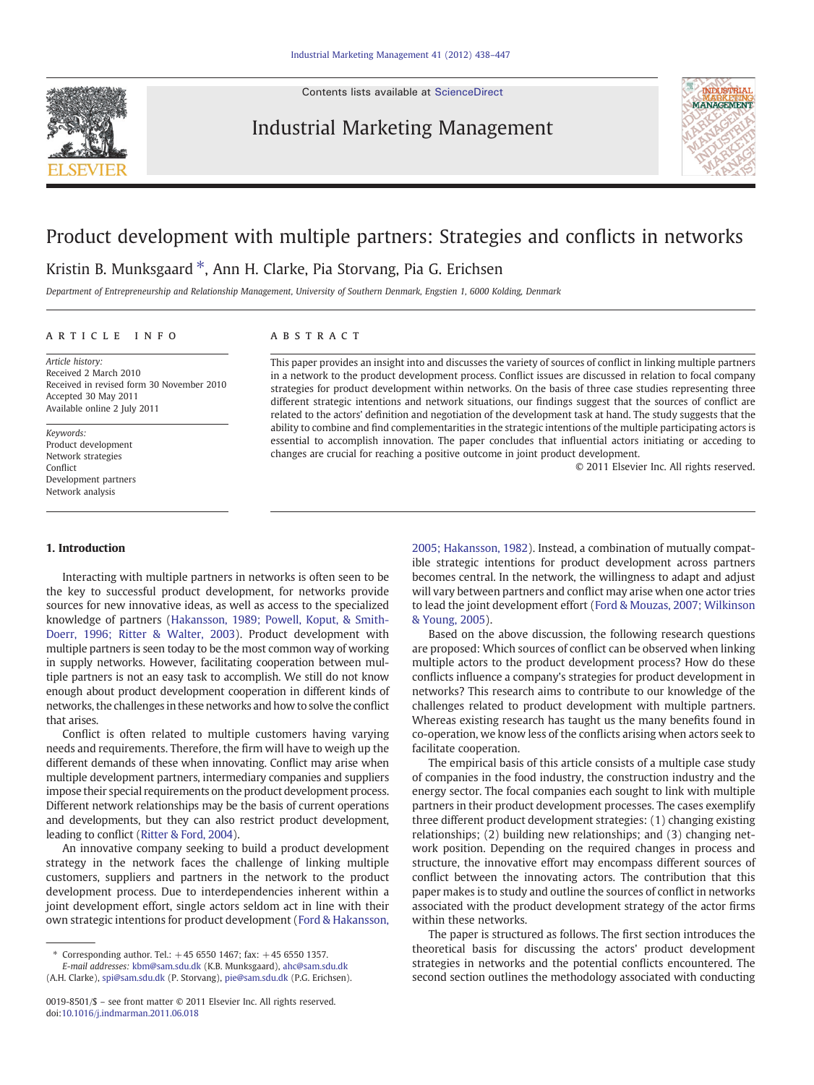Contents lists available at [ScienceDirect](http://www.sciencedirect.com/science/journal/00198501)

## Industrial Marketing Management



## Product development with multiple partners: Strategies and conflicts in networks

## Kristin B. Munksgaard<sup>\*</sup>, Ann H. Clarke, Pia Storvang, Pia G. Erichsen

Department of Entrepreneurship and Relationship Management, University of Southern Denmark, Engstien 1, 6000 Kolding, Denmark

### article info abstract

Article history: Received 2 March 2010 Received in revised form 30 November 2010 Accepted 30 May 2011 Available online 2 July 2011

Keywords: Product development Network strategies **Conflict** Development partners Network analysis

#### 1. Introduction

Interacting with multiple partners in networks is often seen to be the key to successful product development, for networks provide sources for new innovative ideas, as well as access to the specialized knowledge of partners [\(Hakansson, 1989; Powell, Koput, & Smith-](#page--1-0)[Doerr, 1996; Ritter & Walter, 2003](#page--1-0)). Product development with multiple partners is seen today to be the most common way of working in supply networks. However, facilitating cooperation between multiple partners is not an easy task to accomplish. We still do not know enough about product development cooperation in different kinds of networks, the challenges in these networks and how to solve the conflict that arises.

Conflict is often related to multiple customers having varying needs and requirements. Therefore, the firm will have to weigh up the different demands of these when innovating. Conflict may arise when multiple development partners, intermediary companies and suppliers impose their special requirements on the product development process. Different network relationships may be the basis of current operations and developments, but they can also restrict product development, leading to conflict [\(Ritter & Ford, 2004](#page--1-0)).

An innovative company seeking to build a product development strategy in the network faces the challenge of linking multiple customers, suppliers and partners in the network to the product development process. Due to interdependencies inherent within a joint development effort, single actors seldom act in line with their own strategic intentions for product development [\(Ford & Hakansson,](#page--1-0)

This paper provides an insight into and discusses the variety of sources of conflict in linking multiple partners in a network to the product development process. Conflict issues are discussed in relation to focal company strategies for product development within networks. On the basis of three case studies representing three different strategic intentions and network situations, our findings suggest that the sources of conflict are related to the actors' definition and negotiation of the development task at hand. The study suggests that the ability to combine and find complementarities in the strategic intentions of the multiple participating actors is essential to accomplish innovation. The paper concludes that influential actors initiating or acceding to changes are crucial for reaching a positive outcome in joint product development.

© 2011 Elsevier Inc. All rights reserved.

[2005; Hakansson, 1982](#page--1-0)). Instead, a combination of mutually compatible strategic intentions for product development across partners becomes central. In the network, the willingness to adapt and adjust will vary between partners and conflict may arise when one actor tries to lead the joint development effort ([Ford & Mouzas, 2007; Wilkinson](#page--1-0) [& Young, 2005](#page--1-0)).

Based on the above discussion, the following research questions are proposed: Which sources of conflict can be observed when linking multiple actors to the product development process? How do these conflicts influence a company's strategies for product development in networks? This research aims to contribute to our knowledge of the challenges related to product development with multiple partners. Whereas existing research has taught us the many benefits found in co-operation, we know less of the conflicts arising when actors seek to facilitate cooperation.

The empirical basis of this article consists of a multiple case study of companies in the food industry, the construction industry and the energy sector. The focal companies each sought to link with multiple partners in their product development processes. The cases exemplify three different product development strategies: (1) changing existing relationships; (2) building new relationships; and (3) changing network position. Depending on the required changes in process and structure, the innovative effort may encompass different sources of conflict between the innovating actors. The contribution that this paper makes is to study and outline the sources of conflict in networks associated with the product development strategy of the actor firms within these networks.

The paper is structured as follows. The first section introduces the theoretical basis for discussing the actors' product development strategies in networks and the potential conflicts encountered. The second section outlines the methodology associated with conducting

<sup>⁎</sup> Corresponding author. Tel.: +45 6550 1467; fax: +45 6550 1357.

E-mail addresses: [kbm@sam.sdu.dk](mailto:kbm@sam.sdu.dk) (K.B. Munksgaard), [ahc@sam.sdu.dk](mailto:ahc@sam.sdu.dk) (A.H. Clarke), [spi@sam.sdu.dk](mailto:spi@sam.sdu.dk) (P. Storvang), [pie@sam.sdu.dk](mailto:pie@sam.sdu.dk) (P.G. Erichsen).

<sup>0019-8501/\$</sup> – see front matter © 2011 Elsevier Inc. All rights reserved. doi[:10.1016/j.indmarman.2011.06.018](http://dx.doi.org/10.1016/j.indmarman.2011.06.018)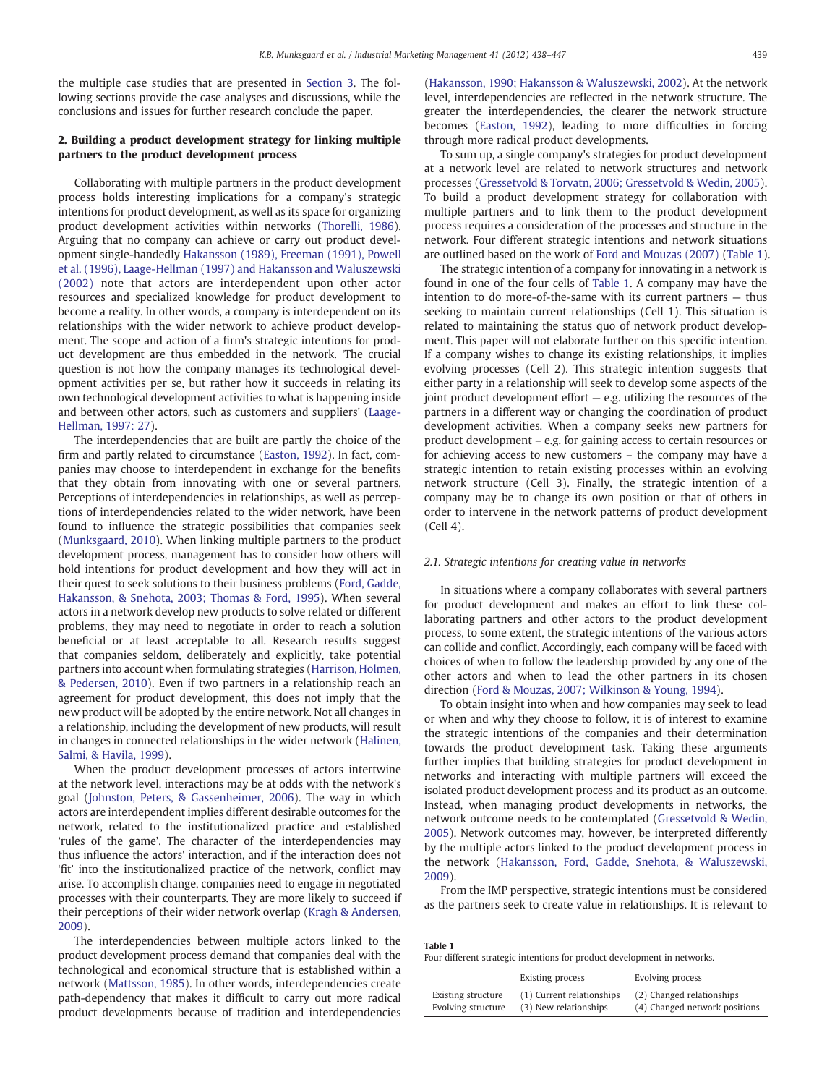the multiple case studies that are presented in [Section 3.](#page--1-0) The following sections provide the case analyses and discussions, while the conclusions and issues for further research conclude the paper.

### 2. Building a product development strategy for linking multiple partners to the product development process

Collaborating with multiple partners in the product development process holds interesting implications for a company's strategic intentions for product development, as well as its space for organizing product development activities within networks ([Thorelli, 1986](#page--1-0)). Arguing that no company can achieve or carry out product development single-handedly [Hakansson \(1989\), Freeman \(1991\), Powell](#page--1-0) [et al. \(1996\), Laage-Hellman \(1997\) and Hakansson and Waluszewski](#page--1-0) [\(2002\)](#page--1-0) note that actors are interdependent upon other actor resources and specialized knowledge for product development to become a reality. In other words, a company is interdependent on its relationships with the wider network to achieve product development. The scope and action of a firm's strategic intentions for product development are thus embedded in the network. 'The crucial question is not how the company manages its technological development activities per se, but rather how it succeeds in relating its own technological development activities to what is happening inside and between other actors, such as customers and suppliers' ([Laage-](#page--1-0)[Hellman, 1997: 27\)](#page--1-0).

The interdependencies that are built are partly the choice of the firm and partly related to circumstance ([Easton, 1992\)](#page--1-0). In fact, companies may choose to interdependent in exchange for the benefits that they obtain from innovating with one or several partners. Perceptions of interdependencies in relationships, as well as perceptions of interdependencies related to the wider network, have been found to influence the strategic possibilities that companies seek [\(Munksgaard, 2010\)](#page--1-0). When linking multiple partners to the product development process, management has to consider how others will hold intentions for product development and how they will act in their quest to seek solutions to their business problems [\(Ford, Gadde,](#page--1-0) [Hakansson, & Snehota, 2003; Thomas & Ford, 1995](#page--1-0)). When several actors in a network develop new products to solve related or different problems, they may need to negotiate in order to reach a solution beneficial or at least acceptable to all. Research results suggest that companies seldom, deliberately and explicitly, take potential partners into account when formulating strategies ([Harrison, Holmen,](#page--1-0) [& Pedersen, 2010\)](#page--1-0). Even if two partners in a relationship reach an agreement for product development, this does not imply that the new product will be adopted by the entire network. Not all changes in a relationship, including the development of new products, will result in changes in connected relationships in the wider network [\(Halinen,](#page--1-0) [Salmi, & Havila, 1999](#page--1-0)).

When the product development processes of actors intertwine at the network level, interactions may be at odds with the network's goal [\(Johnston, Peters, & Gassenheimer, 2006](#page--1-0)). The way in which actors are interdependent implies different desirable outcomes for the network, related to the institutionalized practice and established 'rules of the game'. The character of the interdependencies may thus influence the actors' interaction, and if the interaction does not 'fit' into the institutionalized practice of the network, conflict may arise. To accomplish change, companies need to engage in negotiated processes with their counterparts. They are more likely to succeed if their perceptions of their wider network overlap ([Kragh & Andersen,](#page--1-0) [2009\)](#page--1-0).

The interdependencies between multiple actors linked to the product development process demand that companies deal with the technological and economical structure that is established within a network [\(Mattsson, 1985](#page--1-0)). In other words, interdependencies create path-dependency that makes it difficult to carry out more radical product developments because of tradition and interdependencies

[\(Hakansson, 1990; Hakansson & Waluszewski, 2002](#page--1-0)). At the network level, interdependencies are reflected in the network structure. The greater the interdependencies, the clearer the network structure becomes [\(Easton, 1992\)](#page--1-0), leading to more difficulties in forcing through more radical product developments.

To sum up, a single company's strategies for product development at a network level are related to network structures and network processes ([Gressetvold & Torvatn, 2006; Gressetvold & Wedin, 2005](#page--1-0)). To build a product development strategy for collaboration with multiple partners and to link them to the product development process requires a consideration of the processes and structure in the network. Four different strategic intentions and network situations are outlined based on the work of [Ford and Mouzas \(2007\)](#page--1-0) (Table 1).

The strategic intention of a company for innovating in a network is found in one of the four cells of Table 1. A company may have the intention to do more-of-the-same with its current partners — thus seeking to maintain current relationships (Cell 1). This situation is related to maintaining the status quo of network product development. This paper will not elaborate further on this specific intention. If a company wishes to change its existing relationships, it implies evolving processes (Cell 2). This strategic intention suggests that either party in a relationship will seek to develop some aspects of the joint product development effort  $-$  e.g. utilizing the resources of the partners in a different way or changing the coordination of product development activities. When a company seeks new partners for product development – e.g. for gaining access to certain resources or for achieving access to new customers – the company may have a strategic intention to retain existing processes within an evolving network structure (Cell 3). Finally, the strategic intention of a company may be to change its own position or that of others in order to intervene in the network patterns of product development (Cell 4).

#### 2.1. Strategic intentions for creating value in networks

In situations where a company collaborates with several partners for product development and makes an effort to link these collaborating partners and other actors to the product development process, to some extent, the strategic intentions of the various actors can collide and conflict. Accordingly, each company will be faced with choices of when to follow the leadership provided by any one of the other actors and when to lead the other partners in its chosen direction [\(Ford & Mouzas, 2007; Wilkinson & Young, 1994](#page--1-0)).

To obtain insight into when and how companies may seek to lead or when and why they choose to follow, it is of interest to examine the strategic intentions of the companies and their determination towards the product development task. Taking these arguments further implies that building strategies for product development in networks and interacting with multiple partners will exceed the isolated product development process and its product as an outcome. Instead, when managing product developments in networks, the network outcome needs to be contemplated [\(Gressetvold & Wedin,](#page--1-0) [2005\)](#page--1-0). Network outcomes may, however, be interpreted differently by the multiple actors linked to the product development process in the network [\(Hakansson, Ford, Gadde, Snehota, & Waluszewski,](#page--1-0) [2009\)](#page--1-0).

From the IMP perspective, strategic intentions must be considered as the partners seek to create value in relationships. It is relevant to

| Four different strategic intentions for product development in networks. |                           |                           |
|--------------------------------------------------------------------------|---------------------------|---------------------------|
|                                                                          | Existing process          | Evolving process          |
| Existing structure                                                       | (1) Current relationships | (2) Changed relationships |

Evolving structure (3) New relationships (4) Changed network positions

Table 1